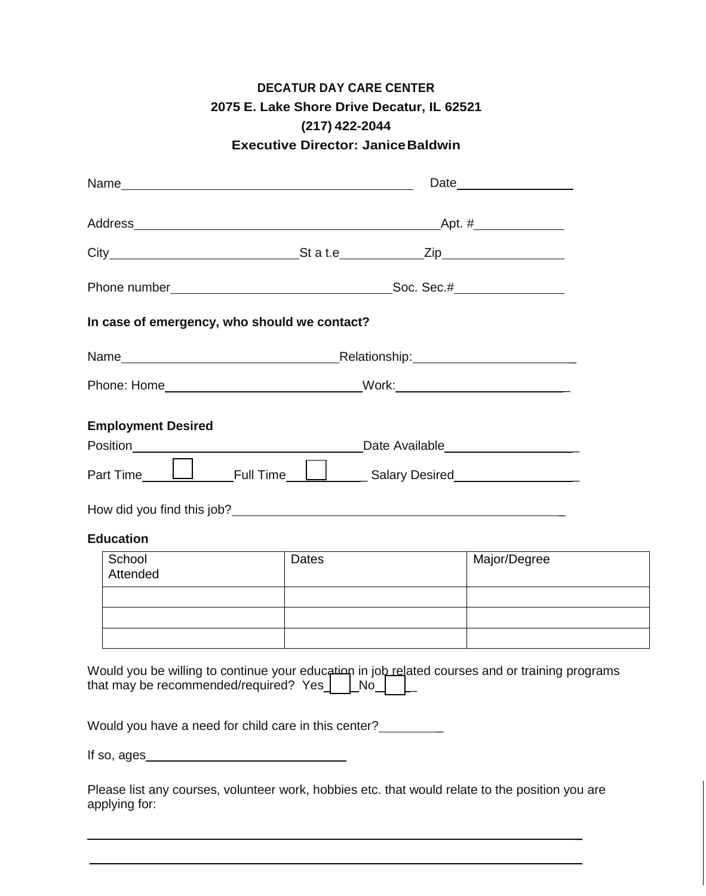## **DECATUR DAY CARE CENTER 2075 E. Lake Shore Drive Decatur, IL 62521 (217) 422-2044 Executive Director: JaniceBaldwin**

| In case of emergency, who should we contact?                                                                                                                                                                                                                                                                                           |       |              |  |
|----------------------------------------------------------------------------------------------------------------------------------------------------------------------------------------------------------------------------------------------------------------------------------------------------------------------------------------|-------|--------------|--|
|                                                                                                                                                                                                                                                                                                                                        |       |              |  |
|                                                                                                                                                                                                                                                                                                                                        |       |              |  |
| <b>Employment Desired</b>                                                                                                                                                                                                                                                                                                              |       |              |  |
| Part Time <b>LU</b> Full Time LU Full Time LU <sub>Balary</sub> Desired Full 2019 LU <sub>Bart</sub> Time LU <sub>Balary</sub> Desired LU <sub>Bart</sub> Time LU <sub>Bart</sub> Time LU <sub>Bart</sub> Time LU <sub>Bart</sub> Time LU <sub>Bart</sub> Time LU <sub>Bart</sub> Time LU <sub>Bart</sub> Time LU <sub>Bart</sub> Time |       |              |  |
|                                                                                                                                                                                                                                                                                                                                        |       |              |  |
| <b>Education</b>                                                                                                                                                                                                                                                                                                                       |       |              |  |
| School<br>Attended                                                                                                                                                                                                                                                                                                                     | Dates | Major/Degree |  |
|                                                                                                                                                                                                                                                                                                                                        |       |              |  |
|                                                                                                                                                                                                                                                                                                                                        |       |              |  |
| Would you be willing to continue your education in job related courses and or training programs<br>that may be recommended/required? Yes   No   L                                                                                                                                                                                      |       |              |  |
| Would you have a need for child care in this center?                                                                                                                                                                                                                                                                                   |       |              |  |
|                                                                                                                                                                                                                                                                                                                                        |       |              |  |
| Please list any courses, volunteer work, hobbies etc. that would relate to the position you are<br>applying for:                                                                                                                                                                                                                       |       |              |  |

\_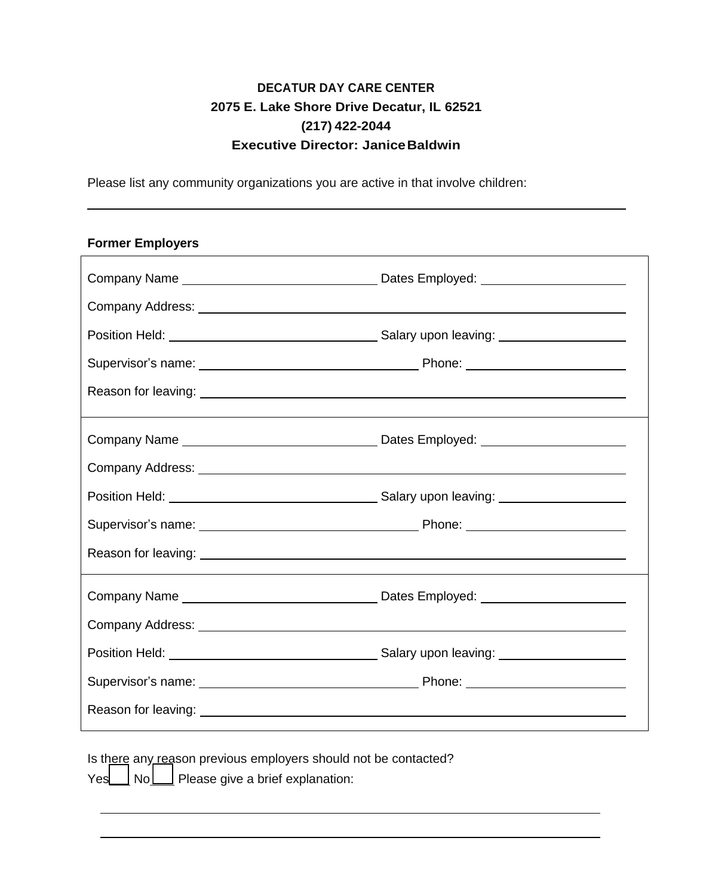## **DECATUR DAY CARE CENTER 2075 E. Lake Shore Drive Decatur, IL 62521 (217) 422-2044 Executive Director: JaniceBaldwin**

Please list any community organizations you are active in that involve children:

### **Former Employers**

| Company Address: North State Company Address: North State Company Address: North State Company Address: North State Company Address: North State Company Address: North State Company Address: North State Company Address: No |  |  |
|--------------------------------------------------------------------------------------------------------------------------------------------------------------------------------------------------------------------------------|--|--|
|                                                                                                                                                                                                                                |  |  |
|                                                                                                                                                                                                                                |  |  |
|                                                                                                                                                                                                                                |  |  |
|                                                                                                                                                                                                                                |  |  |
|                                                                                                                                                                                                                                |  |  |
|                                                                                                                                                                                                                                |  |  |
|                                                                                                                                                                                                                                |  |  |
|                                                                                                                                                                                                                                |  |  |

Is there any reason previous employers should not be contacted? Yes No Please give a brief explanation: